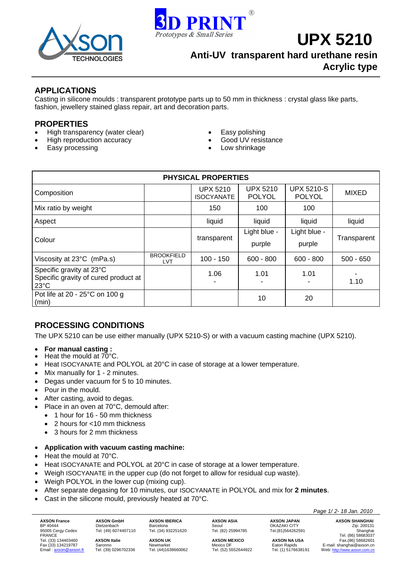



**UPX 5210** 

**Anti-UV transparent hard urethane resin Acrylic type**

## **APPLICATIONS**

Casting in silicone moulds : transparent prototype parts up to 50 mm in thickness : crystal glass like parts, fashion, jewellery stained glass repair, art and decoration parts.

## **PROPERTIES**

- High transparency (water clear) Easy polishing
- High reproduction accuracy Good UV resistance
- 
- 
- 
- **Easy processing example 1** and 1 and 1 and 1 and 1 and 1 and 1 and 1 and 1 and 1 and 1 and 1 and 1 and 1 and 1 and 1 and 1 and 1 and 1 and 1 and 1 and 1 and 1 and 1 and 1 and 1 and 1 and 1 and 1 and 1 and 1 and 1 and 1 an

| <b>PHYSICAL PROPERTIES</b>                                                         |                                 |                                      |                                  |                                    |              |  |  |  |
|------------------------------------------------------------------------------------|---------------------------------|--------------------------------------|----------------------------------|------------------------------------|--------------|--|--|--|
| Composition                                                                        |                                 | <b>UPX 5210</b><br><b>ISOCYANATE</b> | <b>UPX 5210</b><br><b>POLYOL</b> | <b>UPX 5210-S</b><br><b>POLYOL</b> | <b>MIXED</b> |  |  |  |
| Mix ratio by weight                                                                |                                 | 150                                  | 100                              | 100                                |              |  |  |  |
| Aspect                                                                             |                                 | liquid                               | liquid                           | liquid                             | liquid       |  |  |  |
| Colour                                                                             |                                 | transparent                          | Light blue -<br>purple           | Light blue -<br>purple             | Transparent  |  |  |  |
| Viscosity at 23°C (mPa.s)                                                          | <b>BROOKFIELD</b><br><b>LVT</b> | $100 - 150$                          | $600 - 800$                      | $600 - 800$                        | $500 - 650$  |  |  |  |
| Specific gravity at 23°C<br>Specific gravity of cured product at<br>$23^{\circ}$ C |                                 | 1.06                                 | 1.01                             | 1.01                               | 1.10         |  |  |  |
| Pot life at 20 - 25°C on 100 g<br>(min)                                            |                                 |                                      | 10                               | 20                                 |              |  |  |  |

# **PROCESSING CONDITIONS**

The UPX 5210 can be use either manually (UPX 5210-S) or with a vacuum casting machine (UPX 5210).

- **For manual casting :** Heat the mould at 70°C.
- 
- Heat ISOCYANATE and POLYOL at 20°C in case of storage at a lower temperature.
- Mix manually for 1 2 minutes.
- Degas under vacuum for 5 to 10 minutes.
- Pour in the mould.
- After casting, avoid to degas.
- Place in an oven at 70°C, demould after:
	- 1 hour for 16 50 mm thickness
	- 2 hours for <10 mm thickness
	- 3 hours for 2 mm thickness
- **Application with vacuum casting machine:**
- Heat the mould at 70°C.
- Heat ISOCYANATE and POLYOL at 20°C in case of storage at a lower temperature.
- Weigh ISOCYANATE in the upper cup (do not forget to allow for residual cup waste).
- Weigh POLYOL in the lower cup (mixing cup).
- After separate degasing for 10 minutes, our ISOCYANATE in POLYOL and mix for **2 minutes**.
- Cast in the silicone mould, previously heated at 70°C.

**AXSON France AXSON GmbH AXSON IBERICA AXSON ASIA AXSON JAPAN AXSON SHANGHAI**<br>
BP 40444 **Dietzenbach** Barcelona Seoul Georgy Cedex Tel. (49) 6074407110 Tel. (34) 932251620 Tel. (82) 25994785 Tel. (81) 564262591 Sha BP 40444 Dietzenbach Barcelona Seoul OKAZAKI CITY Zip: 200131 95005 Cergy Cedex Tel. (49) 6074407110 Tel. (34) 932251620 Tel. (82) 25994785 Tel. (81)564262591 Tel. (81)564262591<br>FRANCE Tel. (86) 58683037 Tel. (86) 58683037 FRANCE Tel. (86) 58683037 Tel. (33) 134403460 **AXSON Italie <b>AXSON DEXICO AXSON INCESS**<br>
Tex. (33) 134219787 Saronno Newmarket Mexico DF Eaton Rapids E-mail: shanghai@axson.cn<br>
Email: <u>axson@axson.fr</u> Tel. (39) 0296702336 Tel. (44)1638660062 Tel. Fax (33) 134219787 Saronno Newmarket Mexico DF Eaton Rapids E-mail: shanghai@axson.cn Email: ation Rapids (33) 134219787 Saronno Newmarket Newton Mexico DF Haton Rapids E-mail: shanghai @axson.cn<br>1990- Email: <u>axson@axson.fr</u> Tel. (39) 0296702336 Tel. (44)1638660062 Tel. (52) 5552644922 Tel. (1) 5176638191

 *Page 1/ 2- 18 Jan. 2010*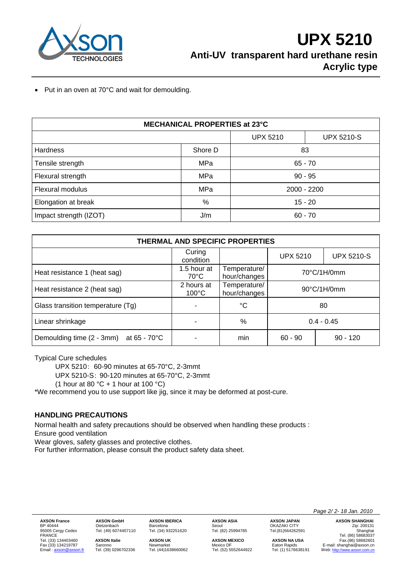

• Put in an oven at 70°C and wait for demoulding.

| MECHANICAL PROPERTIES at 23°C |         |                 |                   |  |  |  |  |
|-------------------------------|---------|-----------------|-------------------|--|--|--|--|
|                               |         | <b>UPX 5210</b> | <b>UPX 5210-S</b> |  |  |  |  |
| <b>Hardness</b>               | Shore D | 83              |                   |  |  |  |  |
| Tensile strength              | MPa     | $65 - 70$       |                   |  |  |  |  |
| Flexural strength             | MPa     | $90 - 95$       |                   |  |  |  |  |
| Flexural modulus              | MPa     | 2000 - 2200     |                   |  |  |  |  |
| Elongation at break           | %       | $15 - 20$       |                   |  |  |  |  |
| Impact strength (IZOT)        | J/m     | $60 - 70$       |                   |  |  |  |  |

| THERMAL AND SPECIFIC PROPERTIES            |                               |                              |                       |                   |  |  |  |  |
|--------------------------------------------|-------------------------------|------------------------------|-----------------------|-------------------|--|--|--|--|
|                                            | Curing<br>condition           |                              | <b>UPX 5210</b>       | <b>UPX 5210-S</b> |  |  |  |  |
| Heat resistance 1 (heat sag)               | 1.5 hour at<br>$70^{\circ}$ C | Temperature/<br>hour/changes | 70°C/1H/0mm           |                   |  |  |  |  |
| Heat resistance 2 (heat sag)               | 2 hours at<br>$100^{\circ}$ C | Temperature/<br>hour/changes | $90^{\circ}$ C/1H/0mm |                   |  |  |  |  |
| Glass transition temperature (Tg)          |                               | °C                           | 80                    |                   |  |  |  |  |
| Linear shrinkage                           |                               | %                            | $0.4 - 0.45$          |                   |  |  |  |  |
| Demoulding time (2 - 3mm)<br>at 65 - 70 °C |                               | min                          | $60 - 90$             | $90 - 120$        |  |  |  |  |

Typical Cure schedules

UPX 5210: 60-90 minutes at 65-70°C, 2-3mmt

UPX 5210-S: 90-120 minutes at 65-70°C, 2-3mmt

(1 hour at 80 °C + 1 hour at 100 °C)

\*We recommend you to use support like jig, since it may be deformed at post-cure.

## **HANDLING PRECAUTIONS**

Normal health and safety precautions should be observed when handling these products : Ensure good ventilation

Wear gloves, safety glasses and protective clothes.

For further information, please consult the product safety data sheet.

Tel. (33) 134403460 **AXSON Italie AXSON UK AXSON MEXICO AXSON NA USA** Fax.(86) 58682601

95005 Cergy Cedex Tel. (49) 6074407110 Tel. (34) 932251620 Tel. (82) 25994785 Tel.(81)564262591 Shanghai

Barcelona Seoul<br>Tel. (34) 932251620 Tel. (82) 25994785

 *Page 2/ 2- 18 Jan. 2010* 

**AXSON France AXSON GmbH AXSON IBERICA AXSON ASIA AXSON Trance AXSON SHANGHAI**<br>
BP 40444 Dietzenbach Barcelona Seoul OKAZAKI CITY *Zip: 200131*<br>
95005 Cergy Cedex Tel. (49) 6074407110 Tel. (34) 932251620 Tel. (82 ERANCE TRANCE TEL. AND DISCREDIBLE TRANCE TEL. AND TRANCE TRANCE TEL. AND TRANCE TRANCE TEL. (ASSON TRANCE TEL<br>
Tel. (49) 6074407110 Tel. (34) 932251620 Tel. (82) 25994785 Tel. (81) 56683037 Tel. (81) 56683037 Tel. (81) 56 Fax (33) 134219787 Saronno Newmarket Mexico DF Eaton Rapids E-mail: shanghai@axson.cn Web: http://www.axson.com.cn